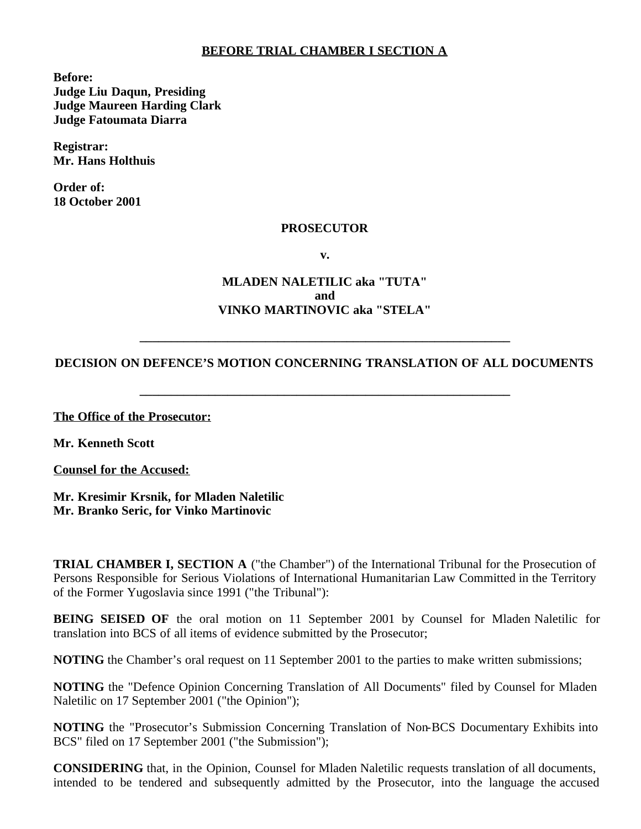#### **BEFORE TRIAL CHAMBER I SECTION A**

**Before: Judge Liu Daqun, Presiding Judge Maureen Harding Clark Judge Fatoumata Diarra**

**Registrar: Mr. Hans Holthuis**

**Order of: 18 October 2001**

#### **PROSECUTOR**

**v.**

## **MLADEN NALETILIC aka "TUTA" and VINKO MARTINOVIC aka "STELA"**

### **DECISION ON DEFENCE'S MOTION CONCERNING TRANSLATION OF ALL DOCUMENTS**

**\_\_\_\_\_\_\_\_\_\_\_\_\_\_\_\_\_\_\_\_\_\_\_\_\_\_\_\_\_\_\_\_\_\_\_\_\_\_\_\_\_\_\_\_\_\_\_\_\_\_\_\_\_\_\_\_\_\_\_**

**\_\_\_\_\_\_\_\_\_\_\_\_\_\_\_\_\_\_\_\_\_\_\_\_\_\_\_\_\_\_\_\_\_\_\_\_\_\_\_\_\_\_\_\_\_\_\_\_\_\_\_\_\_\_\_\_\_\_\_**

**The Office of the Prosecutor:**

**Mr. Kenneth Scott**

**Counsel for the Accused:**

**Mr. Kresimir Krsnik, for Mladen Naletilic Mr. Branko Seric, for Vinko Martinovic**

**TRIAL CHAMBER I, SECTION A** ("the Chamber") of the International Tribunal for the Prosecution of Persons Responsible for Serious Violations of International Humanitarian Law Committed in the Territory of the Former Yugoslavia since 1991 ("the Tribunal"):

**BEING SEISED OF** the oral motion on 11 September 2001 by Counsel for Mladen Naletilic for translation into BCS of all items of evidence submitted by the Prosecutor;

**NOTING** the Chamber's oral request on 11 September 2001 to the parties to make written submissions;

**NOTING** the "Defence Opinion Concerning Translation of All Documents" filed by Counsel for Mladen Naletilic on 17 September 2001 ("the Opinion");

**NOTING** the "Prosecutor's Submission Concerning Translation of Non-BCS Documentary Exhibits into BCS" filed on 17 September 2001 ("the Submission");

**CONSIDERING** that, in the Opinion, Counsel for Mladen Naletilic requests translation of all documents, intended to be tendered and subsequently admitted by the Prosecutor, into the language the accused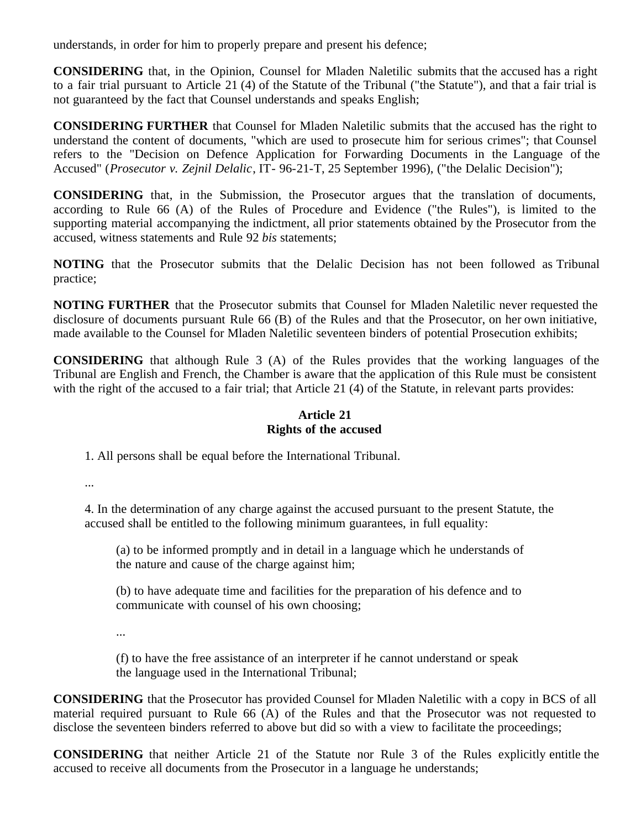understands, in order for him to properly prepare and present his defence;

**CONSIDERING** that, in the Opinion, Counsel for Mladen Naletilic submits that the accused has a right to a fair trial pursuant to Article 21 (4) of the Statute of the Tribunal ("the Statute"), and that a fair trial is not guaranteed by the fact that Counsel understands and speaks English;

**CONSIDERING FURTHER** that Counsel for Mladen Naletilic submits that the accused has the right to understand the content of documents, "which are used to prosecute him for serious crimes"; that Counsel refers to the "Decision on Defence Application for Forwarding Documents in the Language of the Accused" (*Prosecutor v. Zejnil Delalic*, IT- 96-21-T, 25 September 1996), ("the Delalic Decision");

**CONSIDERING** that, in the Submission, the Prosecutor argues that the translation of documents, according to Rule 66 (A) of the Rules of Procedure and Evidence ("the Rules"), is limited to the supporting material accompanying the indictment, all prior statements obtained by the Prosecutor from the accused, witness statements and Rule 92 *bis* statements;

**NOTING** that the Prosecutor submits that the Delalic Decision has not been followed as Tribunal practice;

**NOTING FURTHER** that the Prosecutor submits that Counsel for Mladen Naletilic never requested the disclosure of documents pursuant Rule 66 (B) of the Rules and that the Prosecutor, on her own initiative, made available to the Counsel for Mladen Naletilic seventeen binders of potential Prosecution exhibits;

**CONSIDERING** that although Rule 3 (A) of the Rules provides that the working languages of the Tribunal are English and French, the Chamber is aware that the application of this Rule must be consistent with the right of the accused to a fair trial; that Article 21 (4) of the Statute, in relevant parts provides:

## **Article 21 Rights of the accused**

1. All persons shall be equal before the International Tribunal.

...

4. In the determination of any charge against the accused pursuant to the present Statute, the accused shall be entitled to the following minimum guarantees, in full equality:

(a) to be informed promptly and in detail in a language which he understands of the nature and cause of the charge against him;

(b) to have adequate time and facilities for the preparation of his defence and to communicate with counsel of his own choosing;

...

(f) to have the free assistance of an interpreter if he cannot understand or speak the language used in the International Tribunal;

**CONSIDERING** that the Prosecutor has provided Counsel for Mladen Naletilic with a copy in BCS of all material required pursuant to Rule 66 (A) of the Rules and that the Prosecutor was not requested to disclose the seventeen binders referred to above but did so with a view to facilitate the proceedings;

**CONSIDERING** that neither Article 21 of the Statute nor Rule 3 of the Rules explicitly entitle the accused to receive all documents from the Prosecutor in a language he understands;